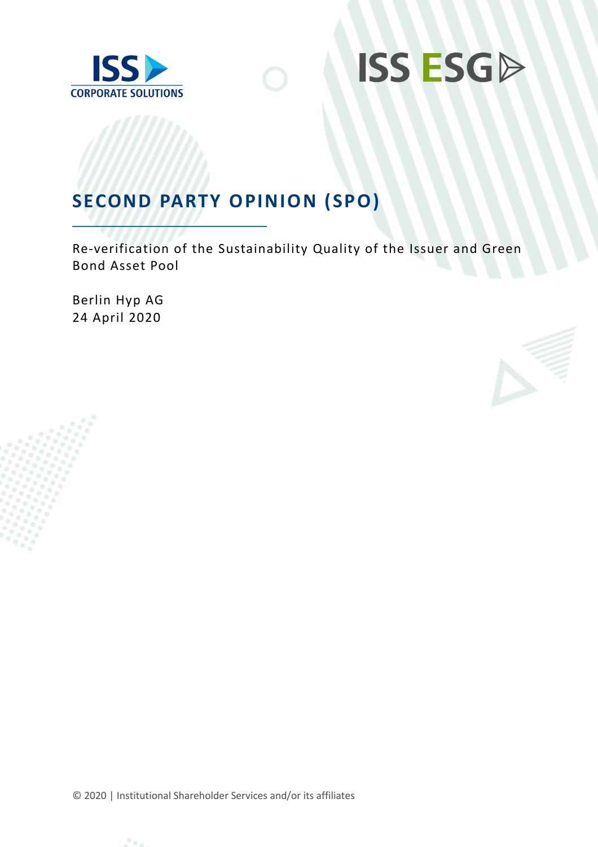



# **SECOND PARTY OPINION (SPO)**

Re-verification of the Sustainability Quality of the Issuer and Green Bond Asset Pool

Berlin Hyp AG 24 April 2020



© 2020 | Institutional Shareholder Services and/or its affiliates

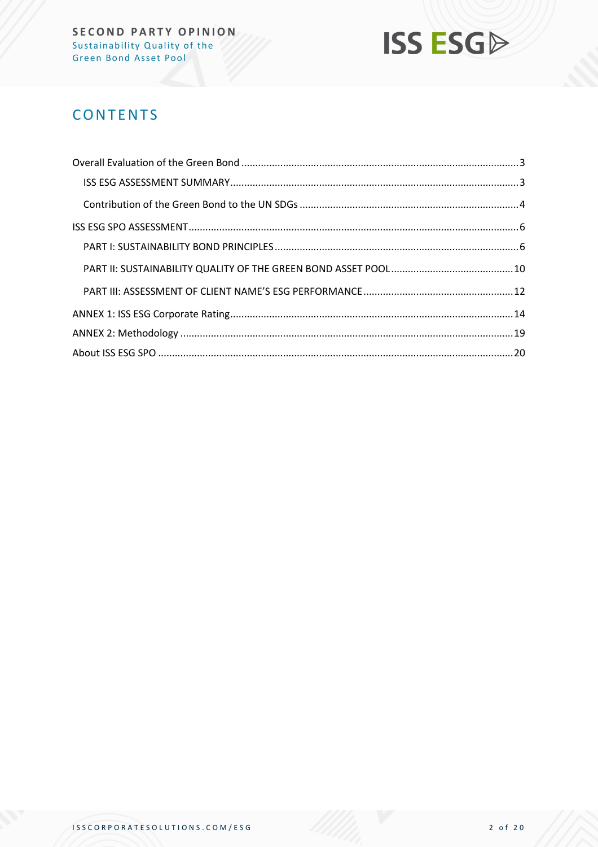

# **CONTENTS**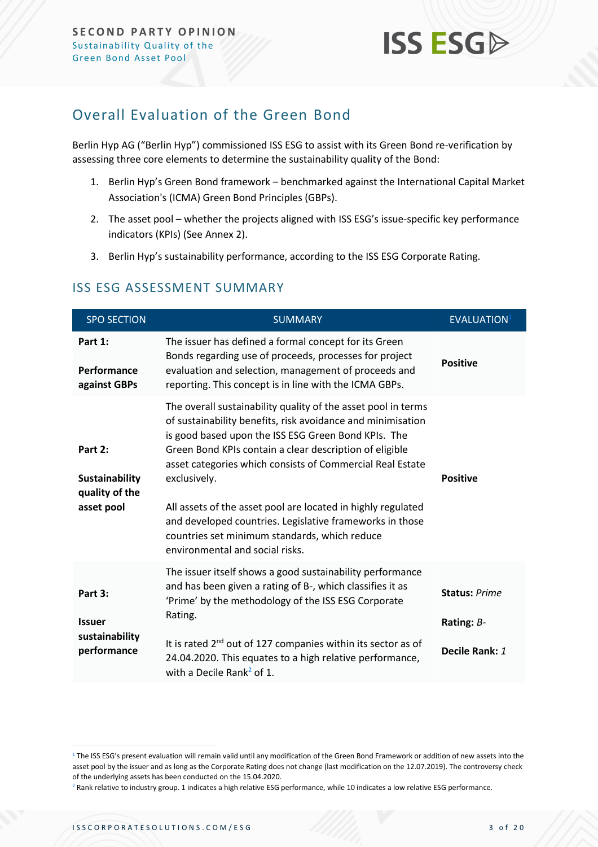

### <span id="page-2-0"></span>Overall Evaluation of the Green Bond

Berlin Hyp AG ("Berlin Hyp") commissioned ISS ESG to assist with its Green Bond re-verification by assessing three core elements to determine the sustainability quality of the Bond:

- 1. Berlin Hyp's Green Bond framework benchmarked against the International Capital Market Association's (ICMA) Green Bond Principles (GBPs).
- 2. The asset pool whether the projects aligned with ISS ESG's issue-specific key performance indicators (KPIs) (See Annex 2).
- 3. Berlin Hyp's sustainability performance, according to the ISS ESG Corporate Rating.

<span id="page-2-1"></span>

|  | <b>ISS ESG ASSESSMENT SUMMARY</b> |  |
|--|-----------------------------------|--|
|--|-----------------------------------|--|

| <b>SPO SECTION</b>                                               | <b>SUMMARY</b>                                                                                                                                                                                                                                                                                                                                                                                                                                                                                                                              | <b>EVALUATION</b>                                    |
|------------------------------------------------------------------|---------------------------------------------------------------------------------------------------------------------------------------------------------------------------------------------------------------------------------------------------------------------------------------------------------------------------------------------------------------------------------------------------------------------------------------------------------------------------------------------------------------------------------------------|------------------------------------------------------|
| Part 1:<br>Performance<br>against GBPs                           | The issuer has defined a formal concept for its Green<br>Bonds regarding use of proceeds, processes for project<br>evaluation and selection, management of proceeds and<br>reporting. This concept is in line with the ICMA GBPs.                                                                                                                                                                                                                                                                                                           | <b>Positive</b>                                      |
| Part 2:<br><b>Sustainability</b><br>quality of the<br>asset pool | The overall sustainability quality of the asset pool in terms<br>of sustainability benefits, risk avoidance and minimisation<br>is good based upon the ISS ESG Green Bond KPIs. The<br>Green Bond KPIs contain a clear description of eligible<br>asset categories which consists of Commercial Real Estate<br>exclusively.<br>All assets of the asset pool are located in highly regulated<br>and developed countries. Legislative frameworks in those<br>countries set minimum standards, which reduce<br>environmental and social risks. | <b>Positive</b>                                      |
| Part 3:<br><b>Issuer</b><br>sustainability<br>performance        | The issuer itself shows a good sustainability performance<br>and has been given a rating of B-, which classifies it as<br>'Prime' by the methodology of the ISS ESG Corporate<br>Rating.<br>It is rated 2 <sup>nd</sup> out of 127 companies within its sector as of<br>24.04.2020. This equates to a high relative performance,<br>with a Decile Rank <sup>2</sup> of 1.                                                                                                                                                                   | <b>Status: Prime</b><br>Rating: B-<br>Decile Rank: 1 |

<sup>&</sup>lt;sup>1</sup> The ISS ESG's present evaluation will remain valid until any modification of the Green Bond Framework or addition of new assets into the asset pool by the issuer and as long as the Corporate Rating does not change (last modification on the 12.07.2019). The controversy check of the underlying assets has been conducted on the 15.04.2020.

<sup>&</sup>lt;sup>2</sup> Rank relative to industry group. 1 indicates a high relative ESG performance, while 10 indicates a low relative ESG performance.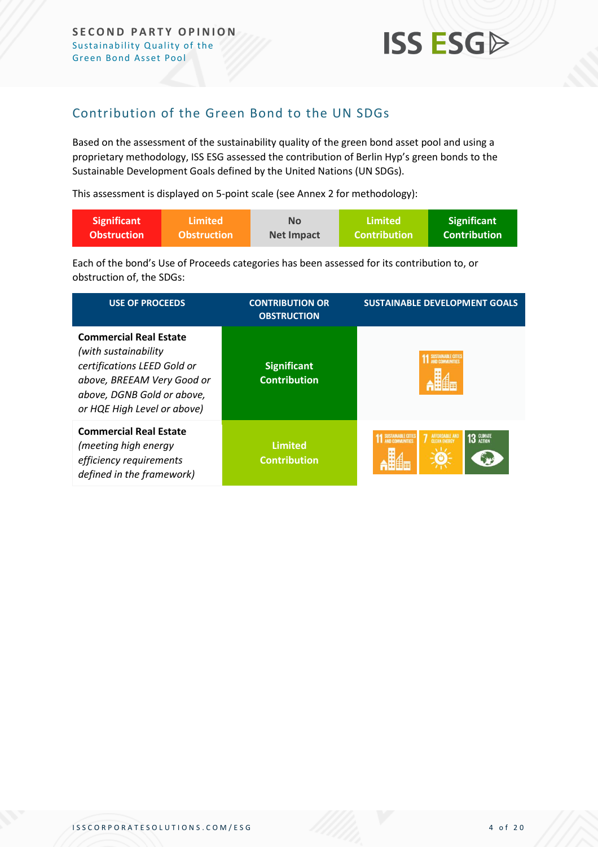

### <span id="page-3-0"></span>Contribution of the Green Bond to the UN SDGs

Based on the assessment of the sustainability quality of the green bond asset pool and using a proprietary methodology, ISS ESG assessed the contribution of Berlin Hyp's green bonds to the Sustainable Development Goals defined by the United Nations (UN SDGs).

This assessment is displayed on 5-point scale (see Annex 2 for methodology):

| <b>Significant</b> | <b>Limited</b>     | No                | Limited             | <b>Significant</b>  |
|--------------------|--------------------|-------------------|---------------------|---------------------|
| <b>Obstruction</b> | <b>Obstruction</b> | <b>Net Impact</b> | <b>Contribution</b> | <b>Contribution</b> |

Each of the bond's Use of Proceeds categories has been assessed for its contribution to, or obstruction of, the SDGs:

| <b>USE OF PROCEEDS</b>                                                                                                                                                           | <b>CONTRIBUTION OR</b><br><b>OBSTRUCTION</b> | <b>SUSTAINABLE DEVELOPMENT GOALS</b>                               |  |  |  |
|----------------------------------------------------------------------------------------------------------------------------------------------------------------------------------|----------------------------------------------|--------------------------------------------------------------------|--|--|--|
| <b>Commercial Real Estate</b><br>(with sustainability)<br>certifications LEED Gold or<br>above, BREEAM Very Good or<br>above, DGNB Gold or above,<br>or HQE High Level or above) | <b>Significant</b><br><b>Contribution</b>    |                                                                    |  |  |  |
| <b>Commercial Real Estate</b><br>(meeting high energy<br>efficiency requirements<br>defined in the framework)                                                                    | <b>Limited</b><br><b>Contribution</b>        | 13 GLIMATE<br>SUSTAINABLE CITIES<br>AFFORDABLE AND<br>CLEAN ENERGY |  |  |  |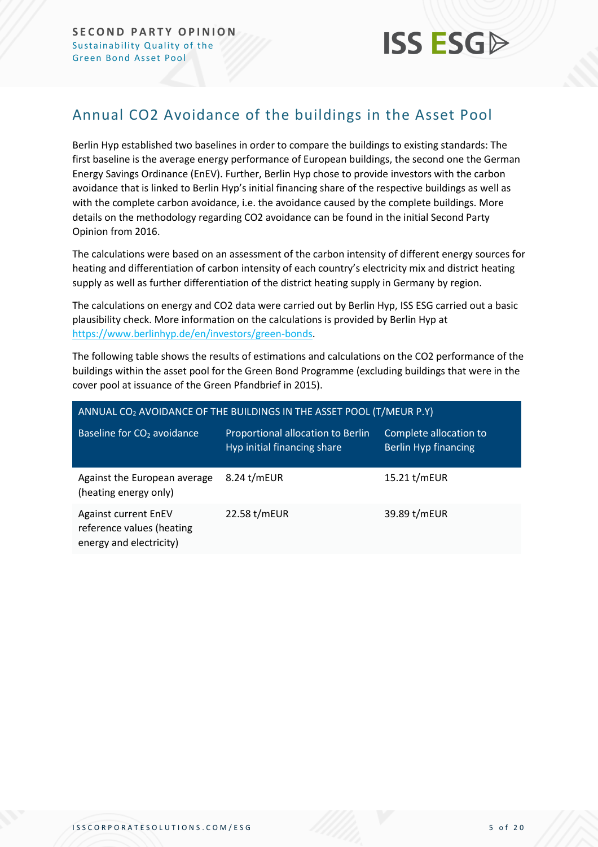

# Annual CO2 Avoidance of the buildings in the Asset Pool

Berlin Hyp established two baselines in order to compare the buildings to existing standards: The first baseline is the average energy performance of European buildings, the second one the German Energy Savings Ordinance (EnEV). Further, Berlin Hyp chose to provide investors with the carbon avoidance that is linked to Berlin Hyp's initial financing share of the respective buildings as well as with the complete carbon avoidance, i.e. the avoidance caused by the complete buildings. More details on the methodology regarding CO2 avoidance can be found in the initial Second Party Opinion from 2016.

The calculations were based on an assessment of the carbon intensity of different energy sources for heating and differentiation of carbon intensity of each country's electricity mix and district heating supply as well as further differentiation of the district heating supply in Germany by region.

The calculations on energy and CO2 data were carried out by Berlin Hyp, ISS ESG carried out a basic plausibility check. More information on the calculations is provided by Berlin Hyp at [https://www.berlinhyp.de/en/investors/green-bonds.](https://protect-eu.mimecast.com/s/c_X-CnxJZuGAKjqcJ_7ZM?domain=berlinhyp.de)

The following table shows the results of estimations and calculations on the CO2 performance of the buildings within the asset pool for the Green Bond Programme (excluding buildings that were in the cover pool at issuance of the Green Pfandbrief in 2015).

<span id="page-4-0"></span>

| ANNUAL CO <sub>2</sub> AVOIDANCE OF THE BUILDINGS IN THE ASSET POOL (T/MEUR P.Y)    |                                                                  |                                                |  |  |  |  |  |
|-------------------------------------------------------------------------------------|------------------------------------------------------------------|------------------------------------------------|--|--|--|--|--|
| Baseline for CO <sub>2</sub> avoidance                                              | Proportional allocation to Berlin<br>Hyp initial financing share | Complete allocation to<br>Berlin Hyp financing |  |  |  |  |  |
| Against the European average<br>(heating energy only)                               | 8.24 t/mEUR                                                      | 15.21 t/mEUR                                   |  |  |  |  |  |
| <b>Against current EnEV</b><br>reference values (heating<br>energy and electricity) | 22.58 t/mEUR                                                     | 39.89 t/mEUR                                   |  |  |  |  |  |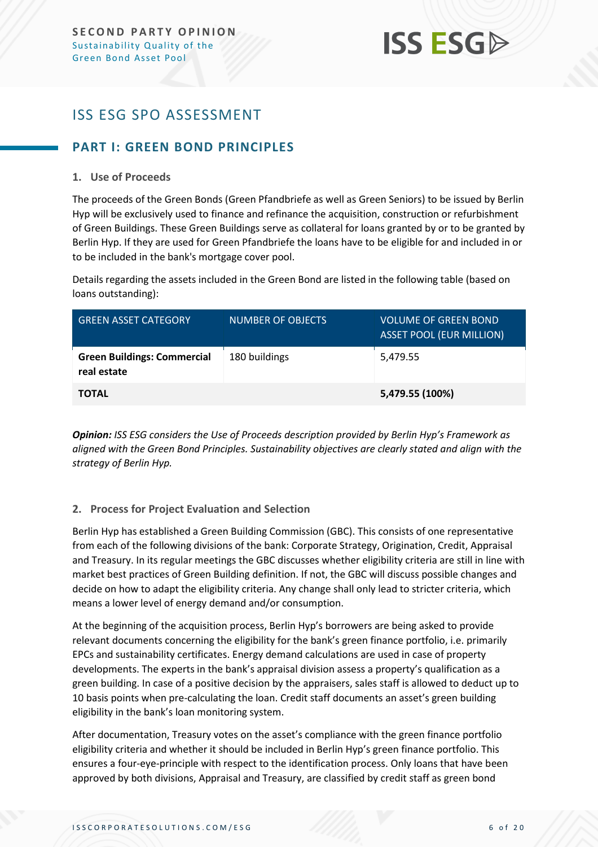# **ISS ESG**

# ISS ESG SPO ASSESSMENT

#### <span id="page-5-0"></span>**PART I: GREEN BOND PRINCIPLES**

#### **1. Use of Proceeds**

The proceeds of the Green Bonds (Green Pfandbriefe as well as Green Seniors) to be issued by Berlin Hyp will be exclusively used to finance and refinance the acquisition, construction or refurbishment of Green Buildings. These Green Buildings serve as collateral for loans granted by or to be granted by Berlin Hyp. If they are used for Green Pfandbriefe the loans have to be eligible for and included in or to be included in the bank's mortgage cover pool.

Details regarding the assets included in the Green Bond are listed in the following table (based on loans outstanding):

| GREEN ASSET CATEGORY                              | <b>NUMBER OF OBJECTS</b> | <b>VOLUME OF GREEN BOND</b><br><b>ASSET POOL (EUR MILLION)</b> |
|---------------------------------------------------|--------------------------|----------------------------------------------------------------|
| <b>Green Buildings: Commercial</b><br>real estate | 180 buildings            | 5,479.55                                                       |
| <b>TOTAL</b>                                      |                          | 5,479.55 (100%)                                                |

*Opinion: ISS ESG considers the Use of Proceeds description provided by Berlin Hyp's Framework as aligned with the Green Bond Principles. Sustainability objectives are clearly stated and align with the strategy of Berlin Hyp.*

#### **2. Process for Project Evaluation and Selection**

Berlin Hyp has established a Green Building Commission (GBC). This consists of one representative from each of the following divisions of the bank: Corporate Strategy, Origination, Credit, Appraisal and Treasury. In its regular meetings the GBC discusses whether eligibility criteria are still in line with market best practices of Green Building definition. If not, the GBC will discuss possible changes and decide on how to adapt the eligibility criteria. Any change shall only lead to stricter criteria, which means a lower level of energy demand and/or consumption.

At the beginning of the acquisition process, Berlin Hyp's borrowers are being asked to provide relevant documents concerning the eligibility for the bank's green finance portfolio, i.e. primarily EPCs and sustainability certificates. Energy demand calculations are used in case of property developments. The experts in the bank's appraisal division assess a property's qualification as a green building. In case of a positive decision by the appraisers, sales staff is allowed to deduct up to 10 basis points when pre-calculating the loan. Credit staff documents an asset's green building eligibility in the bank's loan monitoring system.

After documentation, Treasury votes on the asset's compliance with the green finance portfolio eligibility criteria and whether it should be included in Berlin Hyp's green finance portfolio. This ensures a four-eye-principle with respect to the identification process. Only loans that have been approved by both divisions, Appraisal and Treasury, are classified by credit staff as green bond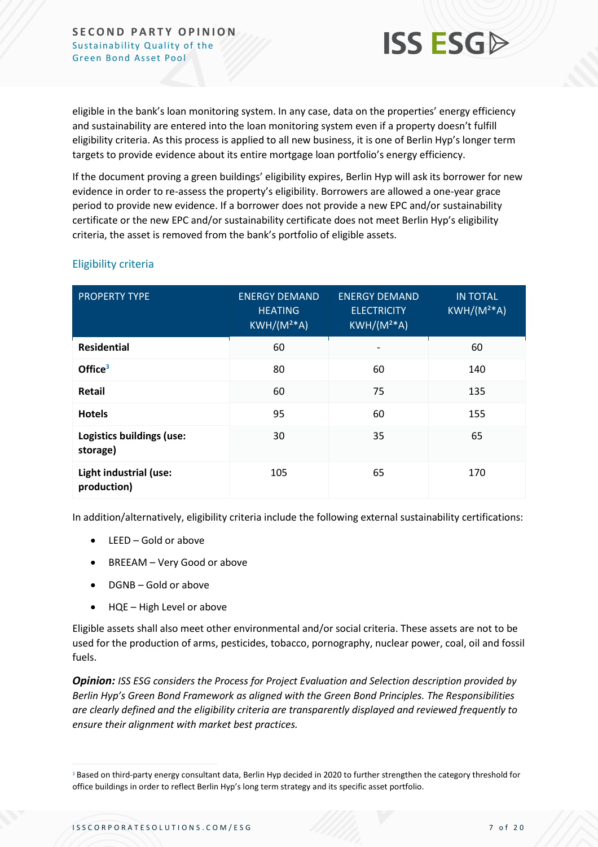

eligible in the bank's loan monitoring system. In any case, data on the properties' energy efficiency and sustainability are entered into the loan monitoring system even if a property doesn't fulfill eligibility criteria. As this process is applied to all new business, it is one of Berlin Hyp's longer term targets to provide evidence about its entire mortgage loan portfolio's energy efficiency.

If the document proving a green buildings' eligibility expires, Berlin Hyp will ask its borrower for new evidence in order to re-assess the property's eligibility. Borrowers are allowed a one-year grace period to provide new evidence. If a borrower does not provide a new EPC and/or sustainability certificate or the new EPC and/or sustainability certificate does not meet Berlin Hyp's eligibility criteria, the asset is removed from the bank's portfolio of eligible assets.

| <b>PROPERTY TYPE</b>                  | <b>ENERGY DEMAND</b><br><b>HEATING</b><br>$KWH/(M2*A)$ | <b>ENERGY DEMAND</b><br><b>ELECTRICITY</b><br>$KWH/(M^{2*}A)$ | <b>IN TOTAL</b><br>$KWH/(M2*A)$ |
|---------------------------------------|--------------------------------------------------------|---------------------------------------------------------------|---------------------------------|
| <b>Residential</b>                    | 60                                                     |                                                               | 60                              |
| Office <sup>3</sup>                   | 80                                                     | 60                                                            | 140                             |
| <b>Retail</b>                         | 60                                                     | 75                                                            | 135                             |
| <b>Hotels</b>                         | 95                                                     | 60                                                            | 155                             |
| Logistics buildings (use:<br>storage) | 30                                                     | 35                                                            | 65                              |
| Light industrial (use:<br>production) | 105                                                    | 65                                                            | 170                             |

#### Eligibility criteria

In addition/alternatively, eligibility criteria include the following external sustainability certifications:

- LEED Gold or above
- BREEAM Very Good or above
- DGNB Gold or above
- HQE High Level or above

Eligible assets shall also meet other environmental and/or social criteria. These assets are not to be used for the production of arms, pesticides, tobacco, pornography, nuclear power, coal, oil and fossil fuels.

*Opinion: ISS ESG considers the Process for Project Evaluation and Selection description provided by Berlin Hyp's Green Bond Framework as aligned with the Green Bond Principles. The Responsibilities are clearly defined and the eligibility criteria are transparently displayed and reviewed frequently to ensure their alignment with market best practices.*

<sup>&</sup>lt;sup>3</sup> Based on third-party energy consultant data, Berlin Hyp decided in 2020 to further strengthen the category threshold for office buildings in order to reflect Berlin Hyp's long term strategy and its specific asset portfolio.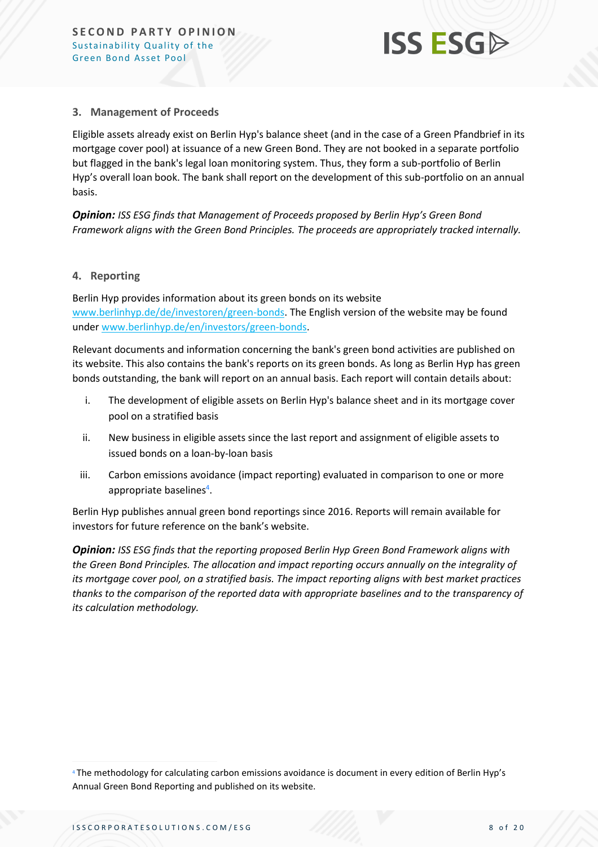

#### **3. Management of Proceeds**

Eligible assets already exist on Berlin Hyp's balance sheet (and in the case of a Green Pfandbrief in its mortgage cover pool) at issuance of a new Green Bond. They are not booked in a separate portfolio but flagged in the bank's legal loan monitoring system. Thus, they form a sub-portfolio of Berlin Hyp's overall loan book. The bank shall report on the development of this sub-portfolio on an annual basis.

*Opinion: ISS ESG finds that Management of Proceeds proposed by Berlin Hyp's Green Bond Framework aligns with the Green Bond Principles. The proceeds are appropriately tracked internally.* 

#### **4. Reporting**

Berlin Hyp provides information about its green bonds on its website [www.berlinhyp.de/de/investoren/green-bonds.](http://www.berlinhyp.de/de/investoren/green-bonds) The English version of the website may be found under [www.berlinhyp.de/en/investors/green-bonds.](http://www.berlinhyp.de/en/investors/green-bonds)

Relevant documents and information concerning the bank's green bond activities are published on its website. This also contains the bank's reports on its green bonds. As long as Berlin Hyp has green bonds outstanding, the bank will report on an annual basis. Each report will contain details about:

- i. The development of eligible assets on Berlin Hyp's balance sheet and in its mortgage cover pool on a stratified basis
- ii. New business in eligible assets since the last report and assignment of eligible assets to issued bonds on a loan-by-loan basis
- iii. Carbon emissions avoidance (impact reporting) evaluated in comparison to one or more appropriate baselines<sup>4</sup>.

Berlin Hyp publishes annual green bond reportings since 2016. Reports will remain available for investors for future reference on the bank's website.

*Opinion: ISS ESG finds that the reporting proposed Berlin Hyp Green Bond Framework aligns with the Green Bond Principles. The allocation and impact reporting occurs annually on the integrality of its mortgage cover pool, on a stratified basis. The impact reporting aligns with best market practices thanks to the comparison of the reported data with appropriate baselines and to the transparency of its calculation methodology.*

<sup>4</sup> The methodology for calculating carbon emissions avoidance is document in every edition of Berlin Hyp's Annual Green Bond Reporting and published on its website.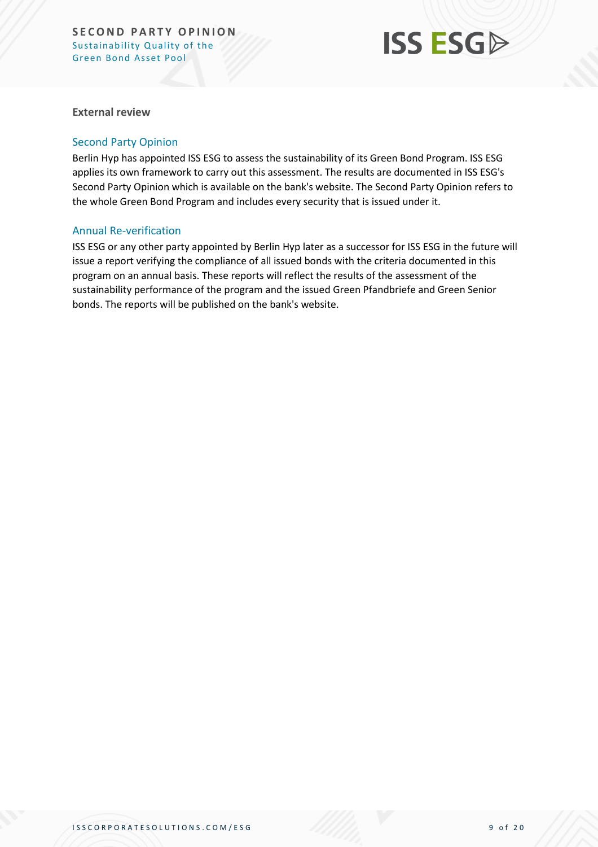# **ISS ESG**

**External review**

#### Second Party Opinion

Berlin Hyp has appointed ISS ESG to assess the sustainability of its Green Bond Program. ISS ESG applies its own framework to carry out this assessment. The results are documented in ISS ESG's Second Party Opinion which is available on the bank's website. The Second Party Opinion refers to the whole Green Bond Program and includes every security that is issued under it.

#### Annual Re-verification

<span id="page-8-0"></span>ISS ESG or any other party appointed by Berlin Hyp later as a successor for ISS ESG in the future will issue a report verifying the compliance of all issued bonds with the criteria documented in this program on an annual basis. These reports will reflect the results of the assessment of the sustainability performance of the program and the issued Green Pfandbriefe and Green Senior bonds. The reports will be published on the bank's website.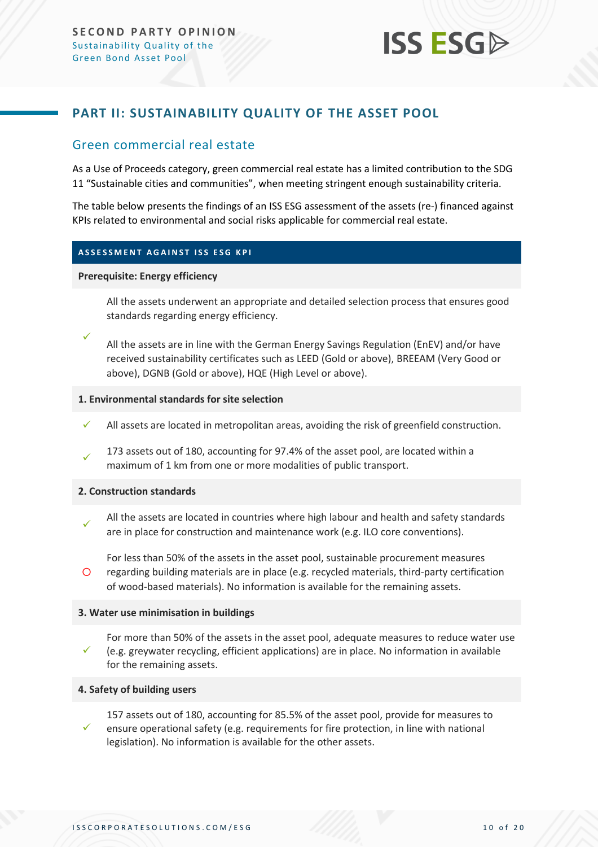

#### **PART II: SUSTAINABILITY QUALITY OF THE ASSET POOL**

#### Green commercial real estate

As a Use of Proceeds category, green commercial real estate has a limited contribution to the SDG 11 "Sustainable cities and communities", when meeting stringent enough sustainability criteria.

The table below presents the findings of an ISS ESG assessment of the assets (re-) financed against KPIs related to environmental and social risks applicable for commercial real estate.

#### **ASSESSMENT AGAINST ISS ESG KPI**

#### **Prerequisite: Energy efficiency**

✓

All the assets underwent an appropriate and detailed selection process that ensures good standards regarding energy efficiency.

All the assets are in line with the German Energy Savings Regulation (EnEV) and/or have received sustainability certificates such as LEED (Gold or above), BREEAM (Very Good or above), DGNB (Gold or above), HQE (High Level or above).

#### **1. Environmental standards for site selection**

- All assets are located in metropolitan areas, avoiding the risk of greenfield construction.
- ✓ 173 assets out of 180, accounting for 97.4% of the asset pool, are located within a maximum of 1 km from one or more modalities of public transport.

#### **2. Construction standards**

- ✓ All the assets are located in countries where high labour and health and safety standards are in place for construction and maintenance work (e.g. ILO core conventions).
- $\circ$ For less than 50% of the assets in the asset pool, sustainable procurement measures regarding building materials are in place (e.g. recycled materials, third-party certification of wood-based materials). No information is available for the remaining assets.

#### **3. Water use minimisation in buildings**

✓ For more than 50% of the assets in the asset pool, adequate measures to reduce water use (e.g. greywater recycling, efficient applications) are in place. No information in available for the remaining assets.

#### **4. Safety of building users**

✓ 157 assets out of 180, accounting for 85.5% of the asset pool, provide for measures to ensure operational safety (e.g. requirements for fire protection, in line with national legislation). No information is available for the other assets.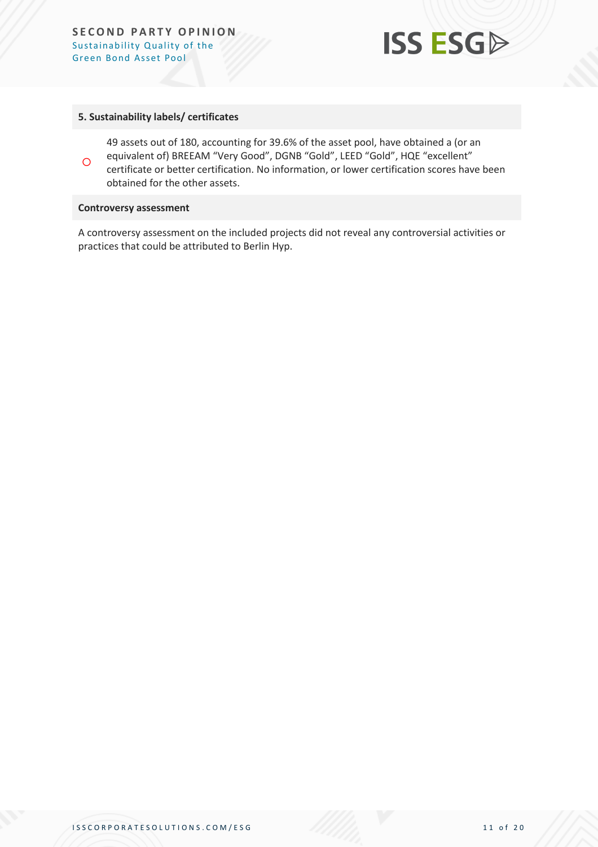

#### **5. Sustainability labels/ certificates**

 $\Omega$ 49 assets out of 180, accounting for 39.6% of the asset pool, have obtained a (or an equivalent of) BREEAM "Very Good", DGNB "Gold", LEED "Gold", HQE "excellent" certificate or better certification. No information, or lower certification scores have been obtained for the other assets.

#### **Controversy assessment**

<span id="page-10-0"></span>A controversy assessment on the included projects did not reveal any controversial activities or practices that could be attributed to Berlin Hyp.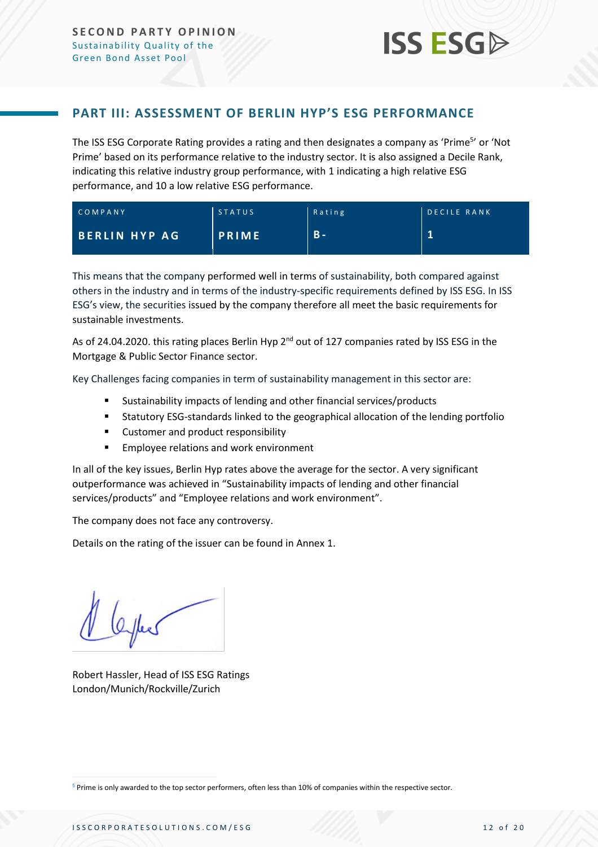#### **PART III: ASSESSMENT OF BERLIN HYP'S ESG PERFORMANCE**

The ISS ESG Corporate Rating provides a rating and then designates a company as 'Prime<sup>5</sup>' or 'Not Prime' based on its performance relative to the industry sector. It is also assigned a Decile Rank, indicating this relative industry group performance, with 1 indicating a high relative ESG performance, and 10 a low relative ESG performance.

| COMPANY              | <b>STATUS</b> | Rating | <b>DECILE RANK</b> |  |  |
|----------------------|---------------|--------|--------------------|--|--|
| <b>BERLIN HYP AG</b> | <b>PRIME</b>  | .B -   |                    |  |  |

This means that the company performed well in terms of sustainability, both compared against others in the industry and in terms of the industry-specific requirements defined by ISS ESG. In ISS ESG's view, the securities issued by the company therefore all meet the basic requirements for sustainable investments.

As of 24.04.2020. this rating places Berlin Hyp  $2^{nd}$  out of 127 companies rated by ISS ESG in the Mortgage & Public Sector Finance sector.

Key Challenges facing companies in term of sustainability management in this sector are:

- Sustainability impacts of lending and other financial services/products
- **■** Statutory ESG-standards linked to the geographical allocation of the lending portfolio
- Customer and product responsibility
- Employee relations and work environment

In all of the key issues, Berlin Hyp rates above the average for the sector. A very significant outperformance was achieved in "Sustainability impacts of lending and other financial services/products" and "Employee relations and work environment".

The company does not face any controversy.

Details on the rating of the issuer can be found in Annex 1.

Robert Hassler, Head of ISS ESG Ratings London/Munich/Rockville/Zurich

<sup>5</sup> Prime is only awarded to the top sector performers, often less than 10% of companies within the respective sector.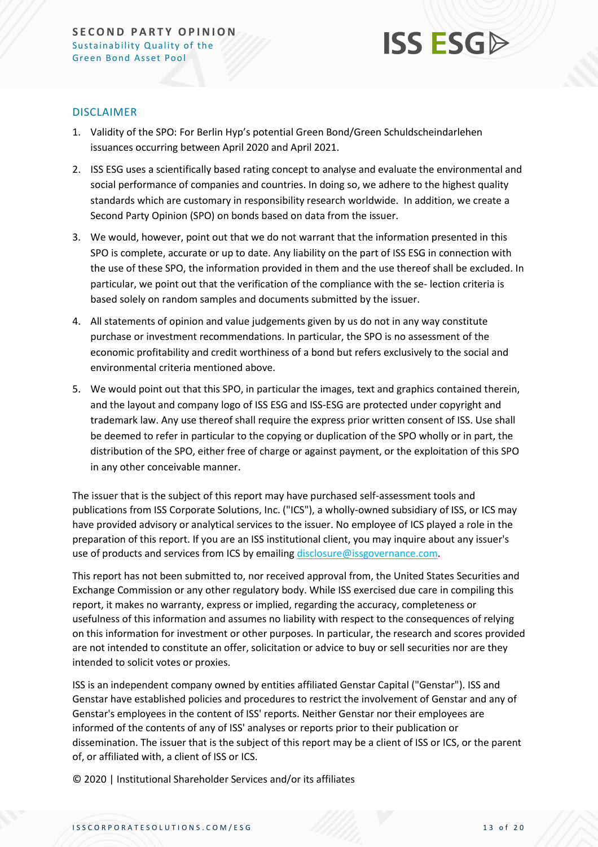

#### DISCLAIMER

- 1. Validity of the SPO: For Berlin Hyp's potential Green Bond/Green Schuldscheindarlehen issuances occurring between April 2020 and April 2021.
- 2. ISS ESG uses a scientifically based rating concept to analyse and evaluate the environmental and social performance of companies and countries. In doing so, we adhere to the highest quality standards which are customary in responsibility research worldwide. In addition, we create a Second Party Opinion (SPO) on bonds based on data from the issuer.
- 3. We would, however, point out that we do not warrant that the information presented in this SPO is complete, accurate or up to date. Any liability on the part of ISS ESG in connection with the use of these SPO, the information provided in them and the use thereof shall be excluded. In particular, we point out that the verification of the compliance with the se- lection criteria is based solely on random samples and documents submitted by the issuer.
- 4. All statements of opinion and value judgements given by us do not in any way constitute purchase or investment recommendations. In particular, the SPO is no assessment of the economic profitability and credit worthiness of a bond but refers exclusively to the social and environmental criteria mentioned above.
- 5. We would point out that this SPO, in particular the images, text and graphics contained therein, and the layout and company logo of ISS ESG and ISS-ESG are protected under copyright and trademark law. Any use thereof shall require the express prior written consent of ISS. Use shall be deemed to refer in particular to the copying or duplication of the SPO wholly or in part, the distribution of the SPO, either free of charge or against payment, or the exploitation of this SPO in any other conceivable manner.

The issuer that is the subject of this report may have purchased self-assessment tools and publications from ISS Corporate Solutions, Inc. ("ICS"), a wholly-owned subsidiary of ISS, or ICS may have provided advisory or analytical services to the issuer. No employee of ICS played a role in the preparation of this report. If you are an ISS institutional client, you may inquire about any issuer's use of products and services from ICS by emailing [disclosure@issgovernance.com.](mailto:disclosure@issgovernance.com)

This report has not been submitted to, nor received approval from, the United States Securities and Exchange Commission or any other regulatory body. While ISS exercised due care in compiling this report, it makes no warranty, express or implied, regarding the accuracy, completeness or usefulness of this information and assumes no liability with respect to the consequences of relying on this information for investment or other purposes. In particular, the research and scores provided are not intended to constitute an offer, solicitation or advice to buy or sell securities nor are they intended to solicit votes or proxies.

ISS is an independent company owned by entities affiliated Genstar Capital ("Genstar"). ISS and Genstar have established policies and procedures to restrict the involvement of Genstar and any of Genstar's employees in the content of ISS' reports. Neither Genstar nor their employees are informed of the contents of any of ISS' analyses or reports prior to their publication or dissemination. The issuer that is the subject of this report may be a client of ISS or ICS, or the parent of, or affiliated with, a client of ISS or ICS.

© 2020 | Institutional Shareholder Services and/or its affiliates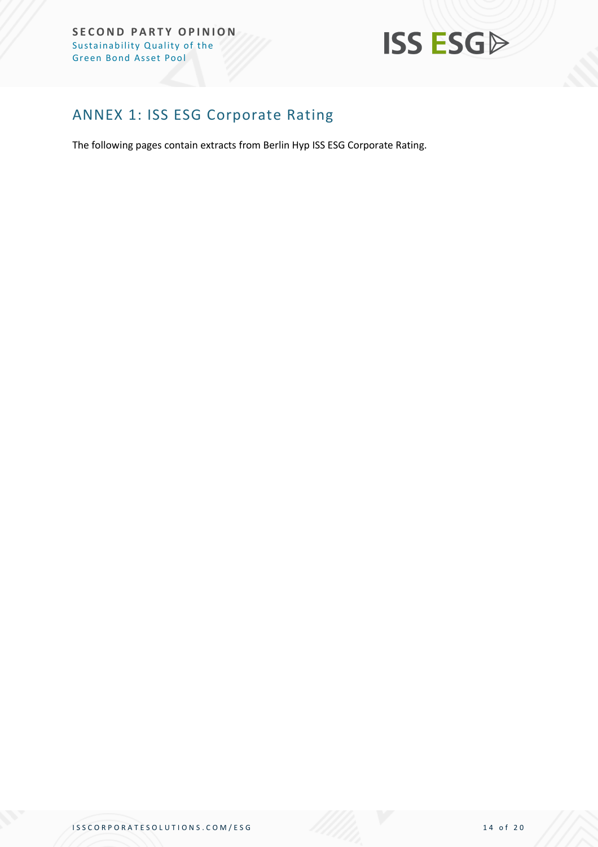**SECOND PARTY OPINION** Sustainability Quality of the Green Bond Asset Pool



# <span id="page-13-0"></span>ANNEX 1: ISS ESG Corporate Rating

The following pages contain extracts from Berlin Hyp ISS ESG Corporate Rating.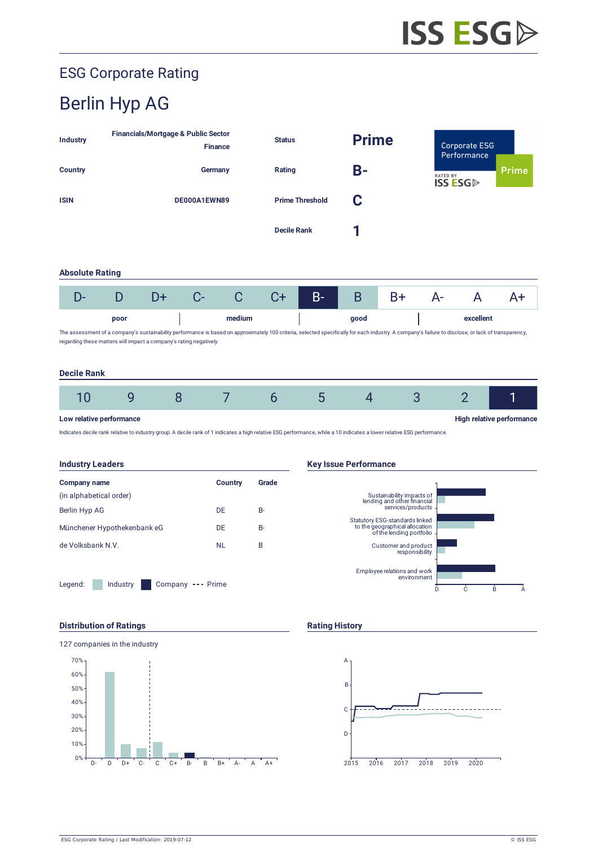# ESG Corporate Rating

# Berlin Hyp AG

| Industry                                                                                                                                                                                                                                                                 |                                                       |    | <b>Financials/Mortgage &amp; Public Sector</b><br><b>Finance</b> |                | <b>Status</b>      |       | <b>Prime</b><br><b>B-</b> |      | <b>Corporate ESG</b><br>Performance |                |              |
|--------------------------------------------------------------------------------------------------------------------------------------------------------------------------------------------------------------------------------------------------------------------------|-------------------------------------------------------|----|------------------------------------------------------------------|----------------|--------------------|-------|---------------------------|------|-------------------------------------|----------------|--------------|
| <b>Country</b>                                                                                                                                                                                                                                                           |                                                       |    | Germany                                                          |                | Rating             |       |                           |      | <b>RATED BY</b><br><b>ISS ESG</b>   |                | <b>Prime</b> |
| <b>ISIN</b>                                                                                                                                                                                                                                                              | DE000A1EWN89                                          |    | C<br><b>Prime Threshold</b>                                      |                |                    |       |                           |      |                                     |                |              |
|                                                                                                                                                                                                                                                                          |                                                       |    |                                                                  |                | <b>Decile Rank</b> |       | 1                         |      |                                     |                |              |
| <b>Absolute Rating</b>                                                                                                                                                                                                                                                   |                                                       |    |                                                                  |                |                    |       |                           |      |                                     |                |              |
| $D-$                                                                                                                                                                                                                                                                     | D                                                     | D+ | $C-$                                                             | C              | $C+$               | $B -$ | B                         | $B+$ | $A -$                               | $\mathsf{A}$   | $A+$         |
|                                                                                                                                                                                                                                                                          | poor                                                  |    |                                                                  | medium         |                    |       | good                      |      |                                     | excellent      |              |
| The assessment of a company's sustainability performance is based on approximately 100 criteria, selected specifically for each industry. A company's failure to disclose, or lack of transparency,<br>regarding these matters will impact a company's rating negatively |                                                       |    |                                                                  |                |                    |       |                           |      |                                     |                |              |
| <b>Decile Rank</b>                                                                                                                                                                                                                                                       |                                                       |    |                                                                  |                |                    |       |                           |      |                                     |                |              |
| 10                                                                                                                                                                                                                                                                       | 9                                                     | 8  |                                                                  | $\overline{7}$ | 6                  | 5     | $\overline{4}$            | 3    |                                     | $\overline{2}$ | 1            |
|                                                                                                                                                                                                                                                                          | High relative performance<br>Low relative performance |    |                                                                  |                |                    |       |                           |      |                                     |                |              |

Indicates decile rank relative to industry group. A decile rank of 1 indicates a high relative ESG performance, while a 10 indicates a lower relative ESG performance.



#### **Distribution of Ratings Rating History Rating History**



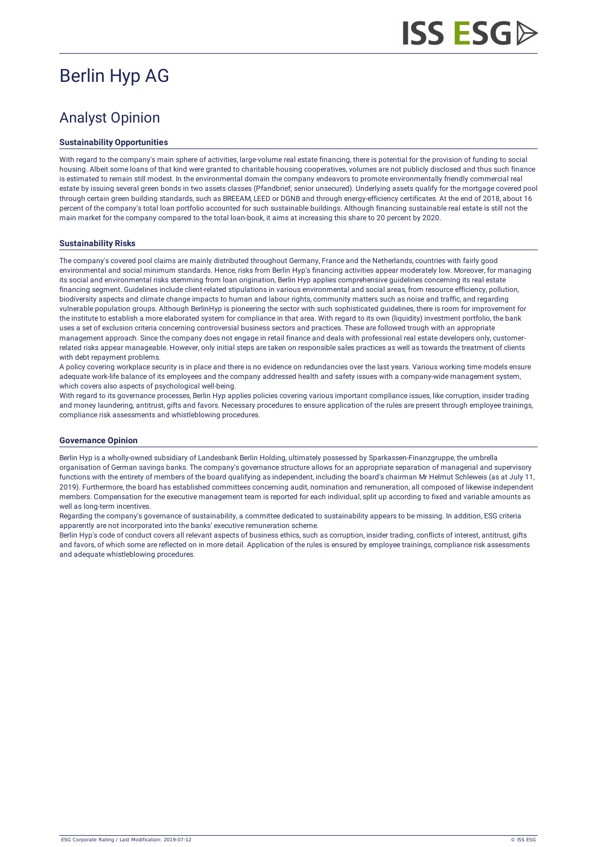# **ISS ESGA**

# Berlin Hyp AG

# Analyst Opinion

#### **Sustainability Opportunities**

With regard to the company's main sphere of activities, large-volume real estate financing, there is potential for the provision of funding to social housing. Albeit some loans of that kind were granted to charitable housing cooperatives, volumes are not publicly disclosed and thus such finance is estimated to remain still modest. In the environmental domain the company endeavors to promote environmentally friendly commercial real estate by issuing several green bonds in two assets classes (Pfandbrief; senior unsecured). Underlying assets qualify for the mortgage covered pool through certain green building standards, such as BREEAM, LEED or DGNB and through energy-efficiency certificates. At the end of 2018, about 16 percent of the company's total loan portfolio accounted for such sustainable buildings. Although financing sustainable real estate is still not the main market for the company compared to the total loan-book, it aims at increasing this share to 20 percent by 2020.

#### **Sustainability Risks**

The company's covered pool claims are mainly distributed throughout Germany, France and the Netherlands, countries with fairly good environmental and social minimum standards. Hence, risks from Berlin Hyp's financing activities appear moderately low. Moreover, for managing its social and environmental risks stemming from loan origination, Berlin Hyp applies comprehensive guidelines concerning its real estate financing segment. Guidelines include client-related stipulations in various environmental and social areas, from resource efficiency, pollution, biodiversity aspects and climate change impacts to human and labour rights, community matters such as noise and traffic, and regarding vulnerable population groups. Although BerlinHyp is pioneering the sector with such sophisticated guidelines, there is room for improvement for the institute to establish a more elaborated system for compliance in that area. With regard to its own (liquidity) investment portfolio, the bank uses a set of exclusion criteria concerning controversial business sectors and practices. These are followed trough with an appropriate management approach. Since the company does not engage in retail finance and deals with professional real estate developers only, customerrelated risks appear manageable. However, only initial steps are taken on responsible sales practices as well as towards the treatment of clients with debt repayment problems.

A policy covering workplace security is in place and there is no evidence on redundancies over the last years. Various working time models ensure adequate work-life balance of its employees and the company addressed health and safety issues with a company-wide management system, which covers also aspects of psychological well-being.

With regard to its governance processes, Berlin Hyp applies policies covering various important compliance issues, like corruption, insider trading and money laundering, antitrust, gifts and favors. Necessary procedures to ensure application of the rules are present through employee trainings, compliance risk assessments and whistleblowing procedures.

#### **Governance Opinion**

Berlin Hyp is a wholly-owned subsidiary of Landesbank Berlin Holding, ultimately possessed by Sparkassen-Finanzgruppe, the umbrella organisation of German savings banks. The company's governance structure allows for an appropriate separation of managerial and supervisory functions with the entirety of members of the board qualifying as independent, including the board's chairman Mr Helmut Schleweis (as at July 11, 2019). Furthermore, the board has established committees concerning audit, nomination and remuneration, all composed of likewise independent members. Compensation for the executive management team is reported for each individual, split up according to fixed and variable amounts as well as long-term incentives.

Regarding the company's governance of sustainability, a committee dedicated to sustainability appears to be missing. In addition, ESG criteria apparently are not incorporated into the banks' executive remuneration scheme.

Berlin Hyp's code of conduct covers all relevant aspects of business ethics, such as corruption, insider trading, conflicts of interest, antitrust, gifts and favors, of which some are reflected on in more detail. Application of the rules is ensured by employee trainings, compliance risk assessments and adequate whistleblowing procedures.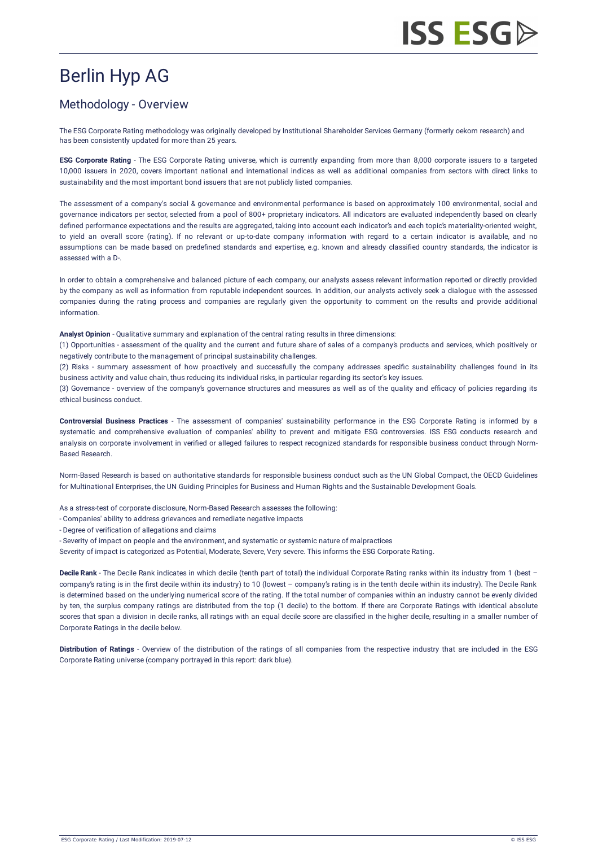# Berlin Hyp AG

### Methodology - Overview

The ESG Corporate Rating methodology was originally developed by Institutional Shareholder Services Germany (formerly oekom research) and has been consistently updated for more than 25 years.

**ESG Corporate Rating** - The ESG Corporate Rating universe, which is currently expanding from more than 8,000 corporate issuers to a targeted 10,000 issuers in 2020, covers important national and international indices as well as additional companies from sectors with direct links to sustainability and the most important bond issuers that are not publicly listed companies.

The assessment of a company's social & governance and environmental performance is based on approximately 100 environmental, social and governance indicators per sector, selected from a pool of 800+ proprietary indicators. All indicators are evaluated independently based on clearly defined performance expectations and the results are aggregated, taking into account each indicator's and each topic's materiality-oriented weight, to yield an overall score (rating). If no relevant or up-to-date company information with regard to a certain indicator is available, and no assumptions can be made based on predefined standards and expertise, e.g. known and already classified country standards, the indicator is assessed with a D-.

In order to obtain a comprehensive and balanced picture of each company, our analysts assess relevant information reported or directly provided by the company as well as information from reputable independent sources. In addition, our analysts actively seek a dialogue with the assessed companies during the rating process and companies are regularly given the opportunity to comment on the results and provide additional information.

**Analyst Opinion** - Qualitative summary and explanation of the central rating results in three dimensions:

(1) Opportunities - assessment of the quality and the current and future share of sales of a company's products and services, which positively or negatively contribute to the management of principal sustainability challenges.

(2) Risks - summary assessment of how proactively and successfully the company addresses specific sustainability challenges found in its business activity and value chain, thus reducing its individual risks, in particular regarding its sector's key issues.

(3) Governance - overview of the company's governance structures and measures as well as of the quality and efficacy of policies regarding its ethical business conduct.

**Controversial Business Practices** - The assessment of companies' sustainability performance in the ESG Corporate Rating is informed by a systematic and comprehensive evaluation of companies' ability to prevent and mitigate ESG controversies. ISS ESG conducts research and [analysis on corporate involvement in verified or alleged failures to respect recognized standards for responsible business conduct through Norm-](https://www.issgovernance.com/esg/screening/esg-screening-solutions/#nbr_techdoc_download)Based Research.

Norm-Based Research is based on authoritative standards for responsible business conduct such as the UN Global Compact, the OECD Guidelines for Multinational Enterprises, the UN Guiding Principles for Business and Human Rights and the Sustainable Development Goals.

As a stress-test of corporate disclosure, Norm-Based Research assesses the following:

- Companies' ability to address grievances and remediate negative impacts
- Degree of verification of allegations and claims

- Severity of impact on people and the environment, and systematic or systemic nature of malpractices

Severity of impact is categorized as Potential, Moderate, Severe, Very severe. This informs the ESG Corporate Rating.

**Decile Rank** - The Decile Rank indicates in which decile (tenth part of total) the individual Corporate Rating ranks within its industry from 1 (best – company's rating is in the first decile within its industry) to 10 (lowest – company's rating is in the tenth decile within its industry). The Decile Rank is determined based on the underlying numerical score of the rating. If the total number of companies within an industry cannot be evenly divided by ten, the surplus company ratings are distributed from the top (1 decile) to the bottom. If there are Corporate Ratings with identical absolute scores that span a division in decile ranks, all ratings with an equal decile score are classified in the higher decile, resulting in a smaller number of Corporate Ratings in the decile below.

**Distribution of Ratings** - Overview of the distribution of the ratings of all companies from the respective industry that are included in the ESG Corporate Rating universe (company portrayed in this report: dark blue).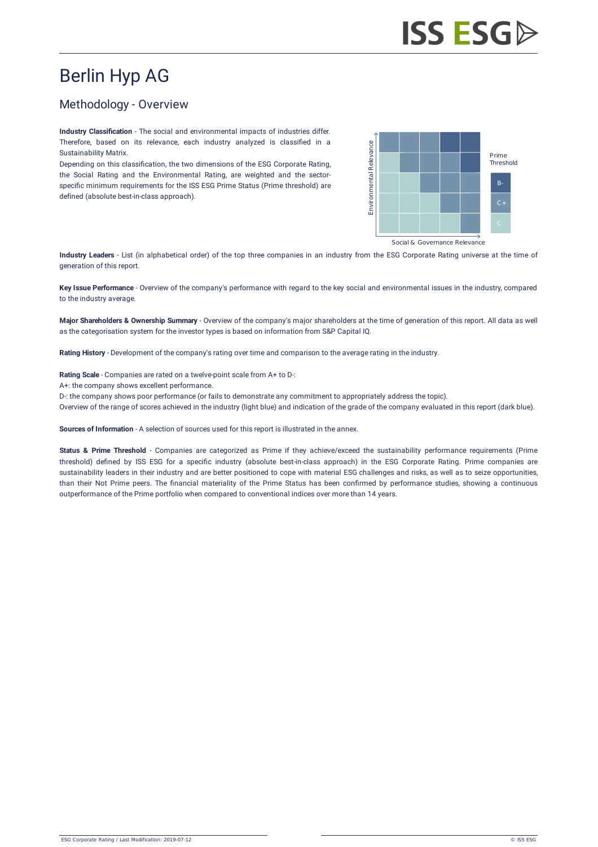# Berlin Hyp AG

#### Methodology - Overview

**Industry Classification** - The social and environmental impacts of industries differ. Therefore, based on its relevance, each industry analyzed is classified in a Sustainability Matrix.

Depending on this classification, the two dimensions of the ESG Corporate Rating, the Social Rating and the Environmental Rating, are weighted and the sectorspecific minimum requirements for the ISS ESG Prime Status (Prime threshold) are defined (absolute best-in-class approach).



Social & Governance Relevance

**Industry Leaders** - List (in alphabetical order) of the top three companies in an industry from the ESG Corporate Rating universe at the time of generation of this report.

**Key Issue Performance** - Overview of the company's performance with regard to the key social and environmental issues in the industry, compared to the industry average.

**Major Shareholders & Ownership Summary** - Overview of the company's major shareholders at the time of generation of this report. All data as well as the categorisation system for the investor types is based on information from [S&P Capital IQ](http://oekom-research.com/index_en.php?content=disclaimer_s_p).

**Rating History** - Development of the company's rating over time and comparison to the average rating in the industry.

**Rating Scale** - Companies are rated on a twelve-point scale from A+ to D-:

A+: the company shows excellent performance.

D-: the company shows poor performance (or fails to demonstrate any commitment to appropriately address the topic).

Overview of the range of scores achieved in the industry (light blue) and indication of the grade of the company evaluated in this report (dark blue).

**Sources of Information** - A selection of sources used for this report is illustrated in the annex.

**Status & Prime Threshold** - Companies are categorized as Prime if they achieve/exceed the sustainability performance requirements (Prime threshold) defined by ISS ESG for a specific industry (absolute best-in-class approach) in the ESG Corporate Rating. Prime companies are sustainability leaders in their industry and are better positioned to cope with material ESG challenges and risks, as well as to seize opportunities, than their Not Prime peers. The financial materiality of the Prime Status has been confirmed by performance studies, showing a continuous outperformance of the Prime portfolio when compared to conventional indices over more than 14 years.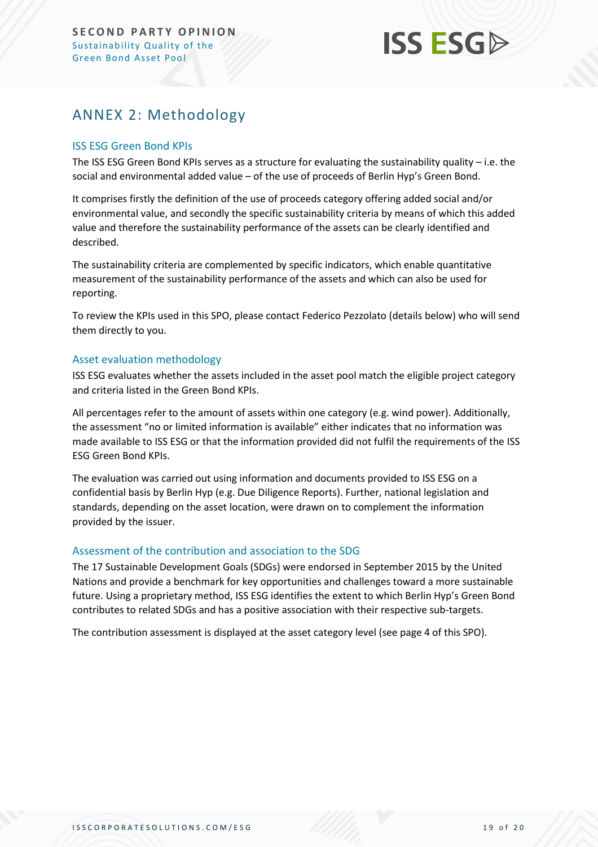# **ISS ESG**

# <span id="page-18-0"></span>ANNEX 2: Methodology

#### ISS ESG Green Bond KPIs

The ISS ESG Green Bond KPIs serves as a structure for evaluating the sustainability quality – i.e. the social and environmental added value – of the use of proceeds of Berlin Hyp's Green Bond.

It comprises firstly the definition of the use of proceeds category offering added social and/or environmental value, and secondly the specific sustainability criteria by means of which this added value and therefore the sustainability performance of the assets can be clearly identified and described.

The sustainability criteria are complemented by specific indicators, which enable quantitative measurement of the sustainability performance of the assets and which can also be used for reporting.

To review the KPIs used in this SPO, please contact Federico Pezzolato (details below) who will send them directly to you.

#### Asset evaluation methodology

ISS ESG evaluates whether the assets included in the asset pool match the eligible project category and criteria listed in the Green Bond KPIs.

All percentages refer to the amount of assets within one category (e.g. wind power). Additionally, the assessment "no or limited information is available" either indicates that no information was made available to ISS ESG or that the information provided did not fulfil the requirements of the ISS ESG Green Bond KPIs.

The evaluation was carried out using information and documents provided to ISS ESG on a confidential basis by Berlin Hyp (e.g. Due Diligence Reports). Further, national legislation and standards, depending on the asset location, were drawn on to complement the information provided by the issuer.

#### Assessment of the contribution and association to the SDG

The 17 Sustainable Development Goals (SDGs) were endorsed in September 2015 by the United Nations and provide a benchmark for key opportunities and challenges toward a more sustainable future. Using a proprietary method, ISS ESG identifies the extent to which Berlin Hyp's Green Bond contributes to related SDGs and has a positive association with their respective sub-targets.

<span id="page-18-1"></span>The contribution assessment is displayed at the asset category level (see page 4 of this SPO).